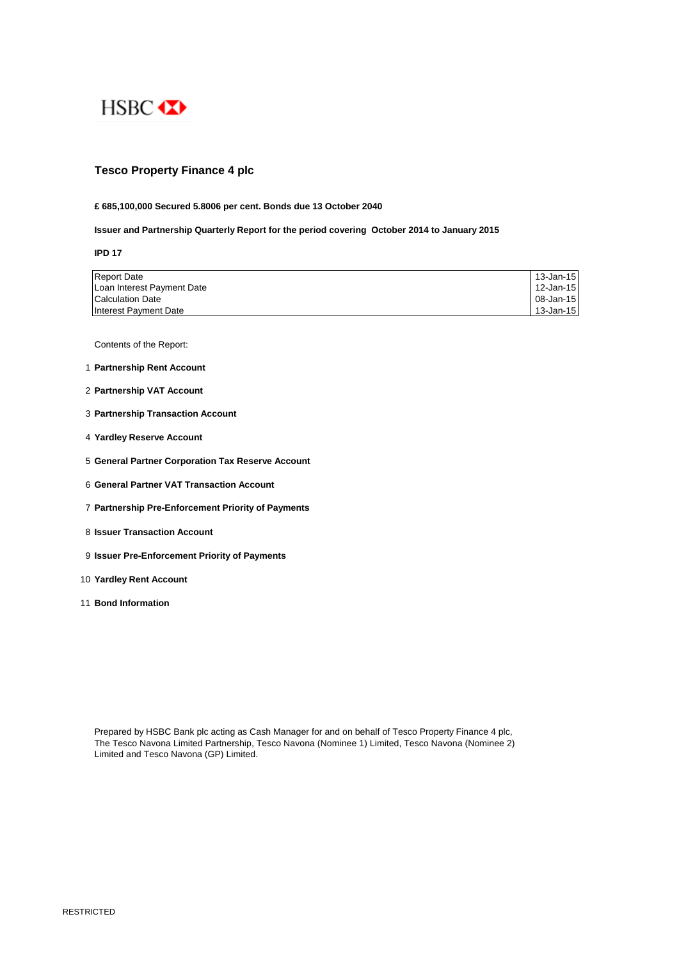

# **Tesco Property Finance 4 plc**

### **£ 685,100,000 Secured 5.8006 per cent. Bonds due 13 October 2040**

# **Issuer and Partnership Quarterly Report for the period covering October 2014 to January 2015**

**IPD 17**

| <b>Report Date</b>         | 13-Jan-15 |
|----------------------------|-----------|
| Loan Interest Payment Date | 12-Jan-15 |
| Calculation Date           | 08-Jan-15 |
| Interest Payment Date      | 13-Jan-15 |

Contents of the Report:

- 1 **Partnership Rent Account**
- 2 **Partnership VAT Account**
- 3 **Partnership Transaction Account**
- 4 **Yardley Reserve Account**
- 5 **General Partner Corporation Tax Reserve Account**
- 6 **General Partner VAT Transaction Account**
- 7 **Partnership Pre-Enforcement Priority of Payments**
- 8 **Issuer Transaction Account**
- 9 **Issuer Pre-Enforcement Priority of Payments**
- 10 **Yardley Rent Account**
- 11 **Bond Information**

Prepared by HSBC Bank plc acting as Cash Manager for and on behalf of Tesco Property Finance 4 plc, The Tesco Navona Limited Partnership, Tesco Navona (Nominee 1) Limited, Tesco Navona (Nominee 2) Limited and Tesco Navona (GP) Limited.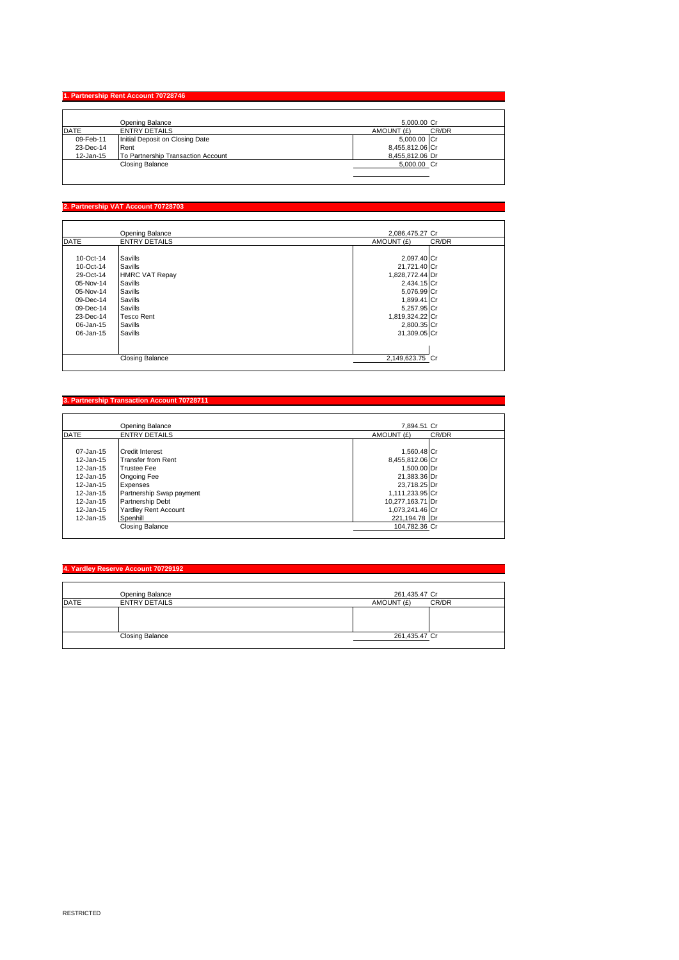#### **1. Partnership Rent Ac**

|             | Opening Balance                    | 5.000.00 Cr         |
|-------------|------------------------------------|---------------------|
| <b>DATE</b> | <b>ENTRY DETAILS</b>               | CR/DR<br>AMOUNT (£) |
| 09-Feb-11   | Initial Deposit on Closing Date    | 5,000.00 Cr         |
| 23-Dec-14   | Rent                               | 8,455,812.06 Cr     |
| 12-Jan-15   | To Partnership Transaction Account | 8.455.812.06 Dr     |
|             | Closing Balance                    | 5,000.00 Cr         |
|             |                                    |                     |

# **2. Partnership VAT Account 70728703**

|                        | Opening Balance       | 2.086.475.27 Cr     |
|------------------------|-----------------------|---------------------|
| <b>DATE</b>            | <b>ENTRY DETAILS</b>  | AMOUNT (£)<br>CR/DR |
|                        |                       |                     |
| 10-Oct-14              | Savills               | 2,097.40 Cr         |
| 10-Oct-14              | Savills               | 21,721.40 Cr        |
| 29-Oct-14              | <b>HMRC VAT Repay</b> | 1,828,772.44 Dr     |
| 05-Nov-14              | Savills               | 2,434.15 Cr         |
| 05-Nov-14              | Savills               | 5,076.99 Cr         |
| 09-Dec-14              | Savills               | 1,899.41 Cr         |
| 09-Dec-14              | Savills               | 5,257.95 Cr         |
| 23-Dec-14              | <b>Tesco Rent</b>     | 1,819,324.22 Cr     |
| 06-Jan-15              | Savills               | 2,800.35 Cr         |
| 06-Jan-15              | Savills               | 31,309.05 Cr        |
|                        |                       |                     |
|                        |                       |                     |
| <b>Closing Balance</b> |                       | 2,149,623.75 Cr     |

#### **3. Partnership Transaction Account 70728711**

|               | Opening Balance             | 7.894.51 Cr      |       |
|---------------|-----------------------------|------------------|-------|
| <b>DATE</b>   | <b>ENTRY DETAILS</b>        | AMOUNT (£)       | CR/DR |
|               |                             |                  |       |
| 07-Jan-15     | <b>Credit Interest</b>      | 1.560.48 Cr      |       |
| $12 - Jan-15$ | Transfer from Rent          | 8,455,812.06 Cr  |       |
| 12-Jan-15     | <b>Trustee Fee</b>          | 1.500.00 Dr      |       |
| 12-Jan-15     | Ongoing Fee                 | 21.383.36 Dr     |       |
| 12-Jan-15     | Expenses                    | 23,718.25 Dr     |       |
| 12-Jan-15     | Partnership Swap payment    | 1.111.233.95 Cr  |       |
| 12-Jan-15     | Partnership Debt            | 10,277,163.71 Dr |       |
| 12-Jan-15     | <b>Yardley Rent Account</b> | 1,073,241.46 Cr  |       |
| $12 - Jan-15$ | Spenhill                    | 221.194.78 Dr    |       |
|               | Closing Balance             | 104,782.36 Cr    |       |

# **4. Yardley Reserve Account 70729192**

|             | Opening Balance        | 261,435.47 Cr       |
|-------------|------------------------|---------------------|
| <b>DATE</b> | <b>ENTRY DETAILS</b>   | AMOUNT (£)<br>CR/DR |
|             |                        |                     |
|             |                        |                     |
|             |                        |                     |
|             | <b>Closing Balance</b> | 261,435.47 Cr       |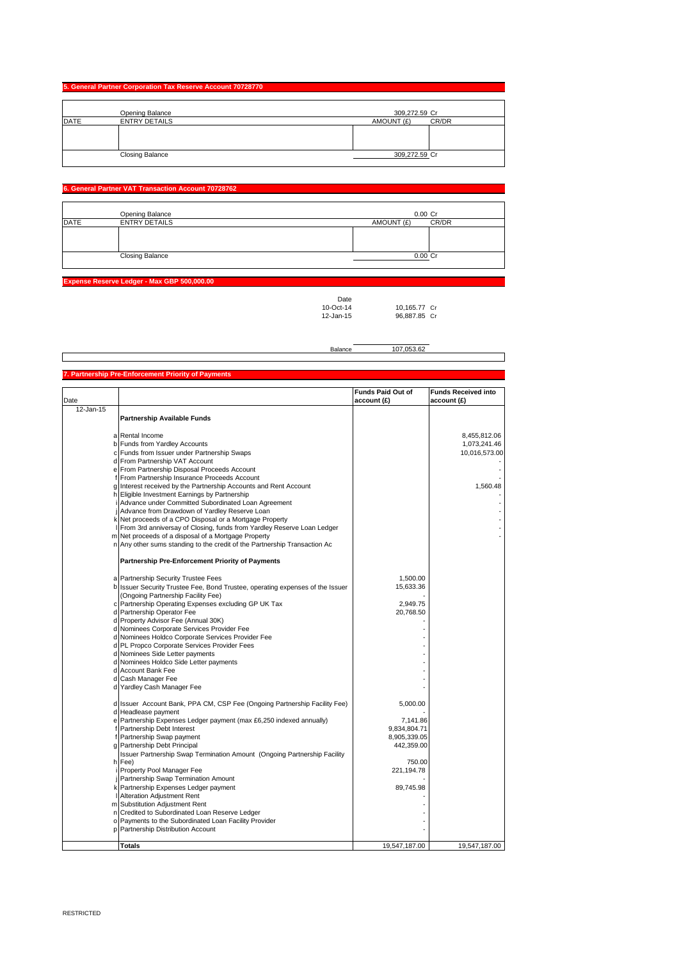# **5. General Partner Corporation Tax Reserve Account 70728770** Opening Balance 309,272.59 Cr DATE ENTRY DETAILS AMOUNT (£) CR/DR Closing Balance 309,272.59 Cr

# **6. General Partner VAT Transaction Account 70728762**

|             | Opening Balance        |            | 0.00 Cr |
|-------------|------------------------|------------|---------|
| <b>DATE</b> | <b>ENTRY DETAILS</b>   | AMOUNT (£) | CR/DR   |
|             |                        |            |         |
|             |                        |            |         |
|             |                        |            |         |
|             | <b>Closing Balance</b> |            | 0.00 Cr |
|             |                        |            |         |

**Expense Reserve Ledger - Max GBP 500,000.00**

Date<br>10-Oct-14<br>12-Jan-15 10-Oct-14 10,165.77 Cr 12-Jan-15 96,887.85 Cr

┓

|  |                                                     | Balance | 107,053.62               |                      |
|--|-----------------------------------------------------|---------|--------------------------|----------------------|
|  |                                                     |         |                          |                      |
|  |                                                     |         |                          |                      |
|  | 7. Partnership Pre-Enforcement Priority of Payments |         |                          |                      |
|  |                                                     |         |                          |                      |
|  |                                                     |         | <b>Funds Paid Out of</b> | <b>Funds Receive</b> |
|  |                                                     |         |                          |                      |

| account (£)<br>account (£)<br>12-Jan-15<br><b>Partnership Available Funds</b><br>a Rental Income<br>8,455,812.06<br>b Funds from Yardley Accounts<br>c Funds from Issuer under Partnership Swaps<br>d From Partnership VAT Account<br>e From Partnership Disposal Proceeds Account<br>f From Partnership Insurance Proceeds Account<br>g Interest received by the Partnership Accounts and Rent Account<br>1,560.48<br>h Eligible Investment Earnings by Partnership<br>i Advance under Committed Subordinated Loan Agreement<br>Advance from Drawdown of Yardley Reserve Loan<br>k Net proceeds of a CPO Disposal or a Mortgage Property<br>I From 3rd anniversay of Closing, funds from Yardley Reserve Loan Ledger<br>m Net proceeds of a disposal of a Mortgage Property<br>n Any other sums standing to the credit of the Partnership Transaction Ac<br>Partnership Pre-Enforcement Priority of Payments<br>1.500.00<br>a Partnership Security Trustee Fees<br>15,633.36<br>b Issuer Security Trustee Fee, Bond Trustee, operating expenses of the Issuer<br>(Ongoing Partnership Facility Fee)<br>2,949.75<br>c Partnership Operating Expenses excluding GP UK Tax<br>d Partnership Operator Fee<br>20,768.50<br>d Property Advisor Fee (Annual 30K)<br>d Nominees Corporate Services Provider Fee<br>d Nominees Holdco Corporate Services Provider Fee<br>d PL Propco Corporate Services Provider Fees<br>d Nominees Side Letter payments<br>d Nominees Holdco Side Letter payments<br>d Account Bank Fee<br>d Cash Manager Fee<br>d Yardley Cash Manager Fee<br>d Issuer Account Bank, PPA CM, CSP Fee (Ongoing Partnership Facility Fee)<br>5,000.00<br>d Headlease payment<br>e Partnership Expenses Ledger payment (max £6,250 indexed annually)<br>7,141.86<br>f Partnership Debt Interest<br>9,834,804.71<br>f Partnership Swap payment<br>8,905,339.05<br>g Partnership Debt Principal<br>442,359.00<br>Issuer Partnership Swap Termination Amount (Ongoing Partnership Facility<br>h Fee)<br>750.00<br>Property Pool Manager Fee<br>221, 194. 78<br>  Partnership Swap Termination Amount<br>k Partnership Expenses Ledger payment<br>89,745.98 |      | <b>Funds Paid Out of</b> | <b>Funds Received into</b> |
|----------------------------------------------------------------------------------------------------------------------------------------------------------------------------------------------------------------------------------------------------------------------------------------------------------------------------------------------------------------------------------------------------------------------------------------------------------------------------------------------------------------------------------------------------------------------------------------------------------------------------------------------------------------------------------------------------------------------------------------------------------------------------------------------------------------------------------------------------------------------------------------------------------------------------------------------------------------------------------------------------------------------------------------------------------------------------------------------------------------------------------------------------------------------------------------------------------------------------------------------------------------------------------------------------------------------------------------------------------------------------------------------------------------------------------------------------------------------------------------------------------------------------------------------------------------------------------------------------------------------------------------------------------------------------------------------------------------------------------------------------------------------------------------------------------------------------------------------------------------------------------------------------------------------------------------------------------------------------------------------------------------------------------------------------------------------------------------------------------------------------------------------------------------|------|--------------------------|----------------------------|
|                                                                                                                                                                                                                                                                                                                                                                                                                                                                                                                                                                                                                                                                                                                                                                                                                                                                                                                                                                                                                                                                                                                                                                                                                                                                                                                                                                                                                                                                                                                                                                                                                                                                                                                                                                                                                                                                                                                                                                                                                                                                                                                                                                | Date |                          |                            |
|                                                                                                                                                                                                                                                                                                                                                                                                                                                                                                                                                                                                                                                                                                                                                                                                                                                                                                                                                                                                                                                                                                                                                                                                                                                                                                                                                                                                                                                                                                                                                                                                                                                                                                                                                                                                                                                                                                                                                                                                                                                                                                                                                                |      |                          |                            |
|                                                                                                                                                                                                                                                                                                                                                                                                                                                                                                                                                                                                                                                                                                                                                                                                                                                                                                                                                                                                                                                                                                                                                                                                                                                                                                                                                                                                                                                                                                                                                                                                                                                                                                                                                                                                                                                                                                                                                                                                                                                                                                                                                                |      |                          |                            |
|                                                                                                                                                                                                                                                                                                                                                                                                                                                                                                                                                                                                                                                                                                                                                                                                                                                                                                                                                                                                                                                                                                                                                                                                                                                                                                                                                                                                                                                                                                                                                                                                                                                                                                                                                                                                                                                                                                                                                                                                                                                                                                                                                                |      |                          |                            |
|                                                                                                                                                                                                                                                                                                                                                                                                                                                                                                                                                                                                                                                                                                                                                                                                                                                                                                                                                                                                                                                                                                                                                                                                                                                                                                                                                                                                                                                                                                                                                                                                                                                                                                                                                                                                                                                                                                                                                                                                                                                                                                                                                                |      |                          |                            |
|                                                                                                                                                                                                                                                                                                                                                                                                                                                                                                                                                                                                                                                                                                                                                                                                                                                                                                                                                                                                                                                                                                                                                                                                                                                                                                                                                                                                                                                                                                                                                                                                                                                                                                                                                                                                                                                                                                                                                                                                                                                                                                                                                                |      |                          | 1,073,241.46               |
|                                                                                                                                                                                                                                                                                                                                                                                                                                                                                                                                                                                                                                                                                                                                                                                                                                                                                                                                                                                                                                                                                                                                                                                                                                                                                                                                                                                                                                                                                                                                                                                                                                                                                                                                                                                                                                                                                                                                                                                                                                                                                                                                                                |      |                          | 10,016,573.00              |
|                                                                                                                                                                                                                                                                                                                                                                                                                                                                                                                                                                                                                                                                                                                                                                                                                                                                                                                                                                                                                                                                                                                                                                                                                                                                                                                                                                                                                                                                                                                                                                                                                                                                                                                                                                                                                                                                                                                                                                                                                                                                                                                                                                |      |                          |                            |
|                                                                                                                                                                                                                                                                                                                                                                                                                                                                                                                                                                                                                                                                                                                                                                                                                                                                                                                                                                                                                                                                                                                                                                                                                                                                                                                                                                                                                                                                                                                                                                                                                                                                                                                                                                                                                                                                                                                                                                                                                                                                                                                                                                |      |                          |                            |
|                                                                                                                                                                                                                                                                                                                                                                                                                                                                                                                                                                                                                                                                                                                                                                                                                                                                                                                                                                                                                                                                                                                                                                                                                                                                                                                                                                                                                                                                                                                                                                                                                                                                                                                                                                                                                                                                                                                                                                                                                                                                                                                                                                |      |                          |                            |
|                                                                                                                                                                                                                                                                                                                                                                                                                                                                                                                                                                                                                                                                                                                                                                                                                                                                                                                                                                                                                                                                                                                                                                                                                                                                                                                                                                                                                                                                                                                                                                                                                                                                                                                                                                                                                                                                                                                                                                                                                                                                                                                                                                |      |                          |                            |
|                                                                                                                                                                                                                                                                                                                                                                                                                                                                                                                                                                                                                                                                                                                                                                                                                                                                                                                                                                                                                                                                                                                                                                                                                                                                                                                                                                                                                                                                                                                                                                                                                                                                                                                                                                                                                                                                                                                                                                                                                                                                                                                                                                |      |                          |                            |
|                                                                                                                                                                                                                                                                                                                                                                                                                                                                                                                                                                                                                                                                                                                                                                                                                                                                                                                                                                                                                                                                                                                                                                                                                                                                                                                                                                                                                                                                                                                                                                                                                                                                                                                                                                                                                                                                                                                                                                                                                                                                                                                                                                |      |                          |                            |
|                                                                                                                                                                                                                                                                                                                                                                                                                                                                                                                                                                                                                                                                                                                                                                                                                                                                                                                                                                                                                                                                                                                                                                                                                                                                                                                                                                                                                                                                                                                                                                                                                                                                                                                                                                                                                                                                                                                                                                                                                                                                                                                                                                |      |                          |                            |
|                                                                                                                                                                                                                                                                                                                                                                                                                                                                                                                                                                                                                                                                                                                                                                                                                                                                                                                                                                                                                                                                                                                                                                                                                                                                                                                                                                                                                                                                                                                                                                                                                                                                                                                                                                                                                                                                                                                                                                                                                                                                                                                                                                |      |                          |                            |
|                                                                                                                                                                                                                                                                                                                                                                                                                                                                                                                                                                                                                                                                                                                                                                                                                                                                                                                                                                                                                                                                                                                                                                                                                                                                                                                                                                                                                                                                                                                                                                                                                                                                                                                                                                                                                                                                                                                                                                                                                                                                                                                                                                |      |                          |                            |
|                                                                                                                                                                                                                                                                                                                                                                                                                                                                                                                                                                                                                                                                                                                                                                                                                                                                                                                                                                                                                                                                                                                                                                                                                                                                                                                                                                                                                                                                                                                                                                                                                                                                                                                                                                                                                                                                                                                                                                                                                                                                                                                                                                |      |                          |                            |
|                                                                                                                                                                                                                                                                                                                                                                                                                                                                                                                                                                                                                                                                                                                                                                                                                                                                                                                                                                                                                                                                                                                                                                                                                                                                                                                                                                                                                                                                                                                                                                                                                                                                                                                                                                                                                                                                                                                                                                                                                                                                                                                                                                |      |                          |                            |
|                                                                                                                                                                                                                                                                                                                                                                                                                                                                                                                                                                                                                                                                                                                                                                                                                                                                                                                                                                                                                                                                                                                                                                                                                                                                                                                                                                                                                                                                                                                                                                                                                                                                                                                                                                                                                                                                                                                                                                                                                                                                                                                                                                |      |                          |                            |
|                                                                                                                                                                                                                                                                                                                                                                                                                                                                                                                                                                                                                                                                                                                                                                                                                                                                                                                                                                                                                                                                                                                                                                                                                                                                                                                                                                                                                                                                                                                                                                                                                                                                                                                                                                                                                                                                                                                                                                                                                                                                                                                                                                |      |                          |                            |
|                                                                                                                                                                                                                                                                                                                                                                                                                                                                                                                                                                                                                                                                                                                                                                                                                                                                                                                                                                                                                                                                                                                                                                                                                                                                                                                                                                                                                                                                                                                                                                                                                                                                                                                                                                                                                                                                                                                                                                                                                                                                                                                                                                |      |                          |                            |
|                                                                                                                                                                                                                                                                                                                                                                                                                                                                                                                                                                                                                                                                                                                                                                                                                                                                                                                                                                                                                                                                                                                                                                                                                                                                                                                                                                                                                                                                                                                                                                                                                                                                                                                                                                                                                                                                                                                                                                                                                                                                                                                                                                |      |                          |                            |
|                                                                                                                                                                                                                                                                                                                                                                                                                                                                                                                                                                                                                                                                                                                                                                                                                                                                                                                                                                                                                                                                                                                                                                                                                                                                                                                                                                                                                                                                                                                                                                                                                                                                                                                                                                                                                                                                                                                                                                                                                                                                                                                                                                |      |                          |                            |
|                                                                                                                                                                                                                                                                                                                                                                                                                                                                                                                                                                                                                                                                                                                                                                                                                                                                                                                                                                                                                                                                                                                                                                                                                                                                                                                                                                                                                                                                                                                                                                                                                                                                                                                                                                                                                                                                                                                                                                                                                                                                                                                                                                |      |                          |                            |
|                                                                                                                                                                                                                                                                                                                                                                                                                                                                                                                                                                                                                                                                                                                                                                                                                                                                                                                                                                                                                                                                                                                                                                                                                                                                                                                                                                                                                                                                                                                                                                                                                                                                                                                                                                                                                                                                                                                                                                                                                                                                                                                                                                |      |                          |                            |
|                                                                                                                                                                                                                                                                                                                                                                                                                                                                                                                                                                                                                                                                                                                                                                                                                                                                                                                                                                                                                                                                                                                                                                                                                                                                                                                                                                                                                                                                                                                                                                                                                                                                                                                                                                                                                                                                                                                                                                                                                                                                                                                                                                |      |                          |                            |
|                                                                                                                                                                                                                                                                                                                                                                                                                                                                                                                                                                                                                                                                                                                                                                                                                                                                                                                                                                                                                                                                                                                                                                                                                                                                                                                                                                                                                                                                                                                                                                                                                                                                                                                                                                                                                                                                                                                                                                                                                                                                                                                                                                |      |                          |                            |
|                                                                                                                                                                                                                                                                                                                                                                                                                                                                                                                                                                                                                                                                                                                                                                                                                                                                                                                                                                                                                                                                                                                                                                                                                                                                                                                                                                                                                                                                                                                                                                                                                                                                                                                                                                                                                                                                                                                                                                                                                                                                                                                                                                |      |                          |                            |
|                                                                                                                                                                                                                                                                                                                                                                                                                                                                                                                                                                                                                                                                                                                                                                                                                                                                                                                                                                                                                                                                                                                                                                                                                                                                                                                                                                                                                                                                                                                                                                                                                                                                                                                                                                                                                                                                                                                                                                                                                                                                                                                                                                |      |                          |                            |
|                                                                                                                                                                                                                                                                                                                                                                                                                                                                                                                                                                                                                                                                                                                                                                                                                                                                                                                                                                                                                                                                                                                                                                                                                                                                                                                                                                                                                                                                                                                                                                                                                                                                                                                                                                                                                                                                                                                                                                                                                                                                                                                                                                |      |                          |                            |
|                                                                                                                                                                                                                                                                                                                                                                                                                                                                                                                                                                                                                                                                                                                                                                                                                                                                                                                                                                                                                                                                                                                                                                                                                                                                                                                                                                                                                                                                                                                                                                                                                                                                                                                                                                                                                                                                                                                                                                                                                                                                                                                                                                |      |                          |                            |
|                                                                                                                                                                                                                                                                                                                                                                                                                                                                                                                                                                                                                                                                                                                                                                                                                                                                                                                                                                                                                                                                                                                                                                                                                                                                                                                                                                                                                                                                                                                                                                                                                                                                                                                                                                                                                                                                                                                                                                                                                                                                                                                                                                |      |                          |                            |
|                                                                                                                                                                                                                                                                                                                                                                                                                                                                                                                                                                                                                                                                                                                                                                                                                                                                                                                                                                                                                                                                                                                                                                                                                                                                                                                                                                                                                                                                                                                                                                                                                                                                                                                                                                                                                                                                                                                                                                                                                                                                                                                                                                |      |                          |                            |
|                                                                                                                                                                                                                                                                                                                                                                                                                                                                                                                                                                                                                                                                                                                                                                                                                                                                                                                                                                                                                                                                                                                                                                                                                                                                                                                                                                                                                                                                                                                                                                                                                                                                                                                                                                                                                                                                                                                                                                                                                                                                                                                                                                |      |                          |                            |
|                                                                                                                                                                                                                                                                                                                                                                                                                                                                                                                                                                                                                                                                                                                                                                                                                                                                                                                                                                                                                                                                                                                                                                                                                                                                                                                                                                                                                                                                                                                                                                                                                                                                                                                                                                                                                                                                                                                                                                                                                                                                                                                                                                |      |                          |                            |
|                                                                                                                                                                                                                                                                                                                                                                                                                                                                                                                                                                                                                                                                                                                                                                                                                                                                                                                                                                                                                                                                                                                                                                                                                                                                                                                                                                                                                                                                                                                                                                                                                                                                                                                                                                                                                                                                                                                                                                                                                                                                                                                                                                |      |                          |                            |
|                                                                                                                                                                                                                                                                                                                                                                                                                                                                                                                                                                                                                                                                                                                                                                                                                                                                                                                                                                                                                                                                                                                                                                                                                                                                                                                                                                                                                                                                                                                                                                                                                                                                                                                                                                                                                                                                                                                                                                                                                                                                                                                                                                |      |                          |                            |
|                                                                                                                                                                                                                                                                                                                                                                                                                                                                                                                                                                                                                                                                                                                                                                                                                                                                                                                                                                                                                                                                                                                                                                                                                                                                                                                                                                                                                                                                                                                                                                                                                                                                                                                                                                                                                                                                                                                                                                                                                                                                                                                                                                |      |                          |                            |
|                                                                                                                                                                                                                                                                                                                                                                                                                                                                                                                                                                                                                                                                                                                                                                                                                                                                                                                                                                                                                                                                                                                                                                                                                                                                                                                                                                                                                                                                                                                                                                                                                                                                                                                                                                                                                                                                                                                                                                                                                                                                                                                                                                |      |                          |                            |
|                                                                                                                                                                                                                                                                                                                                                                                                                                                                                                                                                                                                                                                                                                                                                                                                                                                                                                                                                                                                                                                                                                                                                                                                                                                                                                                                                                                                                                                                                                                                                                                                                                                                                                                                                                                                                                                                                                                                                                                                                                                                                                                                                                |      |                          |                            |
|                                                                                                                                                                                                                                                                                                                                                                                                                                                                                                                                                                                                                                                                                                                                                                                                                                                                                                                                                                                                                                                                                                                                                                                                                                                                                                                                                                                                                                                                                                                                                                                                                                                                                                                                                                                                                                                                                                                                                                                                                                                                                                                                                                |      |                          |                            |
|                                                                                                                                                                                                                                                                                                                                                                                                                                                                                                                                                                                                                                                                                                                                                                                                                                                                                                                                                                                                                                                                                                                                                                                                                                                                                                                                                                                                                                                                                                                                                                                                                                                                                                                                                                                                                                                                                                                                                                                                                                                                                                                                                                |      |                          |                            |
|                                                                                                                                                                                                                                                                                                                                                                                                                                                                                                                                                                                                                                                                                                                                                                                                                                                                                                                                                                                                                                                                                                                                                                                                                                                                                                                                                                                                                                                                                                                                                                                                                                                                                                                                                                                                                                                                                                                                                                                                                                                                                                                                                                |      |                          |                            |
|                                                                                                                                                                                                                                                                                                                                                                                                                                                                                                                                                                                                                                                                                                                                                                                                                                                                                                                                                                                                                                                                                                                                                                                                                                                                                                                                                                                                                                                                                                                                                                                                                                                                                                                                                                                                                                                                                                                                                                                                                                                                                                                                                                |      |                          |                            |
|                                                                                                                                                                                                                                                                                                                                                                                                                                                                                                                                                                                                                                                                                                                                                                                                                                                                                                                                                                                                                                                                                                                                                                                                                                                                                                                                                                                                                                                                                                                                                                                                                                                                                                                                                                                                                                                                                                                                                                                                                                                                                                                                                                |      |                          |                            |
|                                                                                                                                                                                                                                                                                                                                                                                                                                                                                                                                                                                                                                                                                                                                                                                                                                                                                                                                                                                                                                                                                                                                                                                                                                                                                                                                                                                                                                                                                                                                                                                                                                                                                                                                                                                                                                                                                                                                                                                                                                                                                                                                                                |      |                          |                            |
|                                                                                                                                                                                                                                                                                                                                                                                                                                                                                                                                                                                                                                                                                                                                                                                                                                                                                                                                                                                                                                                                                                                                                                                                                                                                                                                                                                                                                                                                                                                                                                                                                                                                                                                                                                                                                                                                                                                                                                                                                                                                                                                                                                |      |                          |                            |
| <b>Alteration Adjustment Rent</b>                                                                                                                                                                                                                                                                                                                                                                                                                                                                                                                                                                                                                                                                                                                                                                                                                                                                                                                                                                                                                                                                                                                                                                                                                                                                                                                                                                                                                                                                                                                                                                                                                                                                                                                                                                                                                                                                                                                                                                                                                                                                                                                              |      |                          |                            |
| m Substitution Adjustment Rent                                                                                                                                                                                                                                                                                                                                                                                                                                                                                                                                                                                                                                                                                                                                                                                                                                                                                                                                                                                                                                                                                                                                                                                                                                                                                                                                                                                                                                                                                                                                                                                                                                                                                                                                                                                                                                                                                                                                                                                                                                                                                                                                 |      |                          |                            |
| n Credited to Subordinated Loan Reserve Ledger                                                                                                                                                                                                                                                                                                                                                                                                                                                                                                                                                                                                                                                                                                                                                                                                                                                                                                                                                                                                                                                                                                                                                                                                                                                                                                                                                                                                                                                                                                                                                                                                                                                                                                                                                                                                                                                                                                                                                                                                                                                                                                                 |      |                          |                            |
| o Payments to the Subordinated Loan Facility Provider                                                                                                                                                                                                                                                                                                                                                                                                                                                                                                                                                                                                                                                                                                                                                                                                                                                                                                                                                                                                                                                                                                                                                                                                                                                                                                                                                                                                                                                                                                                                                                                                                                                                                                                                                                                                                                                                                                                                                                                                                                                                                                          |      |                          |                            |
| p Partnership Distribution Account                                                                                                                                                                                                                                                                                                                                                                                                                                                                                                                                                                                                                                                                                                                                                                                                                                                                                                                                                                                                                                                                                                                                                                                                                                                                                                                                                                                                                                                                                                                                                                                                                                                                                                                                                                                                                                                                                                                                                                                                                                                                                                                             |      |                          |                            |
|                                                                                                                                                                                                                                                                                                                                                                                                                                                                                                                                                                                                                                                                                                                                                                                                                                                                                                                                                                                                                                                                                                                                                                                                                                                                                                                                                                                                                                                                                                                                                                                                                                                                                                                                                                                                                                                                                                                                                                                                                                                                                                                                                                |      |                          |                            |
| <b>Totals</b><br>19,547,187.00                                                                                                                                                                                                                                                                                                                                                                                                                                                                                                                                                                                                                                                                                                                                                                                                                                                                                                                                                                                                                                                                                                                                                                                                                                                                                                                                                                                                                                                                                                                                                                                                                                                                                                                                                                                                                                                                                                                                                                                                                                                                                                                                 |      |                          | 19,547,187.00              |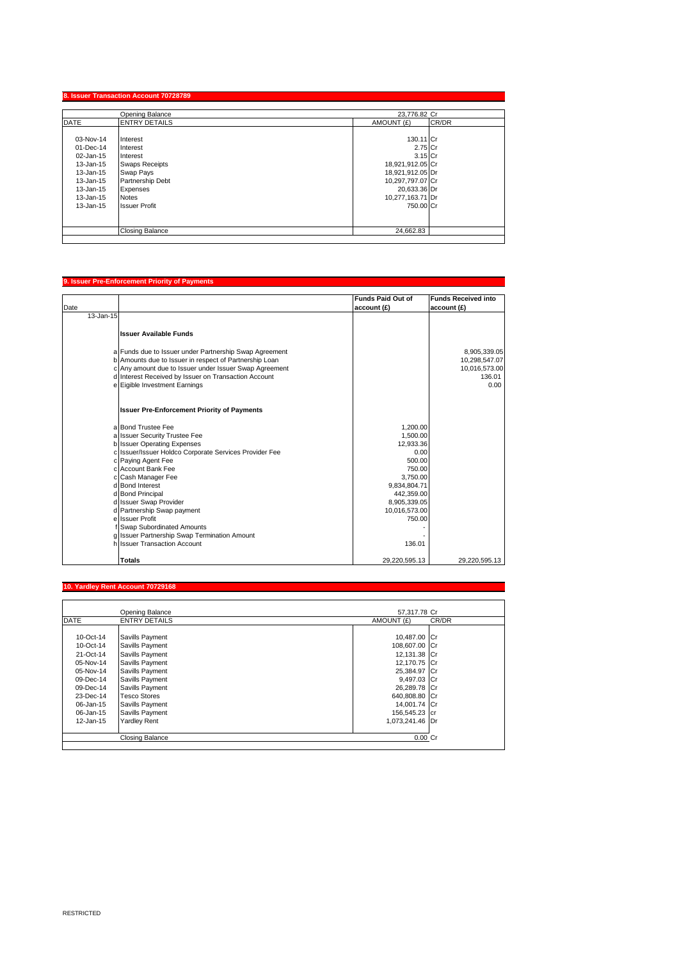|             | Opening Balance        | 23,776.82 Cr     |       |
|-------------|------------------------|------------------|-------|
| <b>DATE</b> | <b>ENTRY DETAILS</b>   | AMOUNT (£)       | CR/DR |
| 03-Nov-14   | Interest               | 130.11 Cr        |       |
| 01-Dec-14   | Interest               | 2.75 Cr          |       |
| 02-Jan-15   | Interest               | $3.15$ Cr        |       |
| 13-Jan-15   | <b>Swaps Receipts</b>  | 18,921,912.05 Cr |       |
| 13-Jan-15   | Swap Pays              | 18,921,912.05 Dr |       |
| 13-Jan-15   | Partnership Debt       | 10,297,797.07 Cr |       |
| 13-Jan-15   | Expenses               | 20,633.36 Dr     |       |
| 13-Jan-15   | <b>Notes</b>           | 10,277,163.71 Dr |       |
| 13-Jan-15   | <b>Issuer Profit</b>   | 750.00 Cr        |       |
|             |                        |                  |       |
|             | <b>Closing Balance</b> | 24,662.83        |       |

### **9. Issuer Pre-Enforcement Priority of Payments**

|           |                                                                                       | <b>Funds Paid Out of</b> | <b>Funds Received into</b> |
|-----------|---------------------------------------------------------------------------------------|--------------------------|----------------------------|
| Date      |                                                                                       | account (£)              | account (£)                |
| 13-Jan-15 |                                                                                       |                          |                            |
|           |                                                                                       |                          |                            |
|           | <b>Issuer Available Funds</b>                                                         |                          |                            |
|           |                                                                                       |                          |                            |
|           | a Funds due to Issuer under Partnership Swap Agreement                                |                          | 8,905,339.05               |
|           | b Amounts due to Issuer in respect of Partnership Loan                                |                          | 10,298,547.07              |
|           | c Any amount due to Issuer under Issuer Swap Agreement                                |                          | 10,016,573.00              |
|           | d Interest Received by Issuer on Transaction Account                                  |                          | 136.01                     |
|           | e Eigible Investment Earnings                                                         |                          | 0.00                       |
|           |                                                                                       |                          |                            |
|           |                                                                                       |                          |                            |
|           | <b>Issuer Pre-Enforcement Priority of Payments</b>                                    |                          |                            |
|           | a Bond Trustee Fee                                                                    |                          |                            |
|           | a Issuer Security Trustee Fee                                                         | 1,200.00                 |                            |
|           |                                                                                       | 1,500.00                 |                            |
|           | b Issuer Operating Expenses<br>c Issuer/Issuer Holdco Corporate Services Provider Fee | 12,933.36<br>0.00        |                            |
|           |                                                                                       |                          |                            |
|           | c Paying Agent Fee<br>c Account Bank Fee                                              | 500.00                   |                            |
|           |                                                                                       | 750.00                   |                            |
|           | c Cash Manager Fee<br>d Bond Interest                                                 | 3.750.00                 |                            |
|           |                                                                                       | 9,834,804.71             |                            |
|           | d Bond Principal                                                                      | 442.359.00               |                            |
|           | d Issuer Swap Provider                                                                | 8,905,339.05             |                            |
|           | d Partnership Swap payment                                                            | 10,016,573.00            |                            |
|           | e Issuer Profit                                                                       | 750.00                   |                            |
|           | Swap Subordinated Amounts                                                             |                          |                            |
|           | g Issuer Partnership Swap Termination Amount                                          |                          |                            |
|           | h Issuer Transaction Account                                                          | 136.01                   |                            |
|           | <b>Totals</b>                                                                         | 29.220.595.13            | 29.220.595.13              |
|           |                                                                                       |                          |                            |

# **10. Yardley Rent Account 70729168**

|              | Opening Balance        | 57.317.78 Cr    |       |
|--------------|------------------------|-----------------|-------|
| <b>DATE</b>  | <b>ENTRY DETAILS</b>   | AMOUNT (£)      | CR/DR |
|              |                        |                 |       |
| 10-Oct-14    | Savills Payment        | 10,487.00 Cr    |       |
| 10-Oct-14    | Savills Payment        | 108,607.00 Cr   |       |
| 21-Oct-14    | Savills Payment        | 12,131.38 Cr    |       |
| 05-Nov-14    | Savills Payment        | 12,170.75 Cr    |       |
| 05-Nov-14    | Savills Payment        | 25,384.97 Cr    |       |
| 09-Dec-14    | Savills Payment        | 9,497.03 Cr     |       |
| $09$ -Dec-14 | Savills Payment        | 26,289.78 Cr    |       |
| 23-Dec-14    | <b>Tesco Stores</b>    | 640,808.80 Cr   |       |
| 06-Jan-15    | Savills Payment        | 14,001.74 Cr    |       |
| 06-Jan-15    | Savills Payment        | 156,545.23 cr   |       |
| 12-Jan-15    | <b>Yardley Rent</b>    | 1,073,241.46 Dr |       |
|              |                        |                 |       |
|              | <b>Closing Balance</b> | 0.00 Cr         |       |